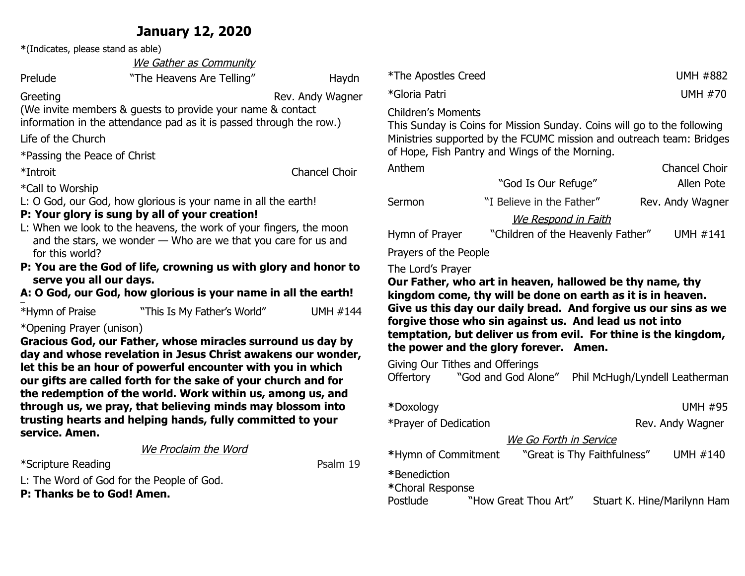## **January 12, 2020**

**\***(Indicates, please stand as able)

We Gather as Community

Prelude **The Heavens Are Telling"** Haydn Greeting **Greeting Rev. Andy Wagner** Rev. Andy Wagner (We invite members & guests to provide your name & contact information in the attendance pad as it is passed through the row.) Life of the Church \*Passing the Peace of Christ \*Introit Chancel Choir

\*Call to Worship

L: O God, our God, how glorious is your name in all the earth!

## **P: Your glory is sung by all of your creation!**

- L: When we look to the heavens, the work of your fingers, the moon and the stars, we wonder — Who are we that you care for us and for this world?
- **P: You are the God of life, crowning us with glory and honor to serve you all our days.**

## **A: O God, our God, how glorious is your name in all the earth!**

ł \*Hymn of Praise "This Is My Father's World" UMH #144

### \*Opening Prayer (unison)

**Gracious God, our Father, whose miracles surround us day by day and whose revelation in Jesus Christ awakens our wonder, let this be an hour of powerful encounter with you in which our gifts are called forth for the sake of your church and for the redemption of the world. Work within us, among us, and through us, we pray, that believing minds may blossom into trusting hearts and helping hands, fully committed to your service. Amen.**

We Proclaim the Word

\*Scripture Reading **Provides** Psalm 19

L: The Word of God for the People of God.

**P: Thanks be to God! Amen.**

| <i><b>*The Apostles Creed</b></i>                                       | <b>UMH #882</b> |
|-------------------------------------------------------------------------|-----------------|
| *Gloria Patri                                                           | UMH #70         |
| Children's Moments                                                      |                 |
| This Sunday is Coins for Mission Sunday, Coins will go to the following |                 |

This Sunday is Coins for Mission Sunday. Coins will go to the following Ministries supported by the FCUMC mission and outreach team: Bridges of Hope, Fish Pantry and Wings of the Morning.

| Anthem                |                                   | <b>Chancel Choir</b> |
|-----------------------|-----------------------------------|----------------------|
|                       | "God Is Our Refuge"               | Allen Pote           |
| Sermon                | "I Believe in the Father"         | Rev. Andy Wagner     |
|                       | We Respond in Faith               |                      |
| Hymn of Prayer        | "Children of the Heavenly Father" | <b>UMH #141</b>      |
| Prayers of the People |                                   |                      |

The Lord's Prayer

**Our Father, who art in heaven, hallowed be thy name, thy kingdom come, thy will be done on earth as it is in heaven. Give us this day our daily bread. And forgive us our sins as we forgive those who sin against us. And lead us not into temptation, but deliver us from evil. For thine is the kingdom, the power and the glory forever. Amen.**

Giving Our Tithes and Offerings

Offertory "God and God Alone" Phil McHugh/Lyndell Leatherman

| *Doxology                        |                        |                             | <b>UMH #95</b>   |
|----------------------------------|------------------------|-----------------------------|------------------|
| *Prayer of Dedication            |                        |                             | Rev. Andy Wagner |
|                                  | We Go Forth in Service |                             |                  |
| *Hymn of Commitment              |                        | "Great is Thy Faithfulness" | <b>UMH #140</b>  |
| *Benediction<br>*Choral Response |                        |                             |                  |
| Postlude                         | "How Great Thou Art"   | Stuart K. Hine/Marilynn Ham |                  |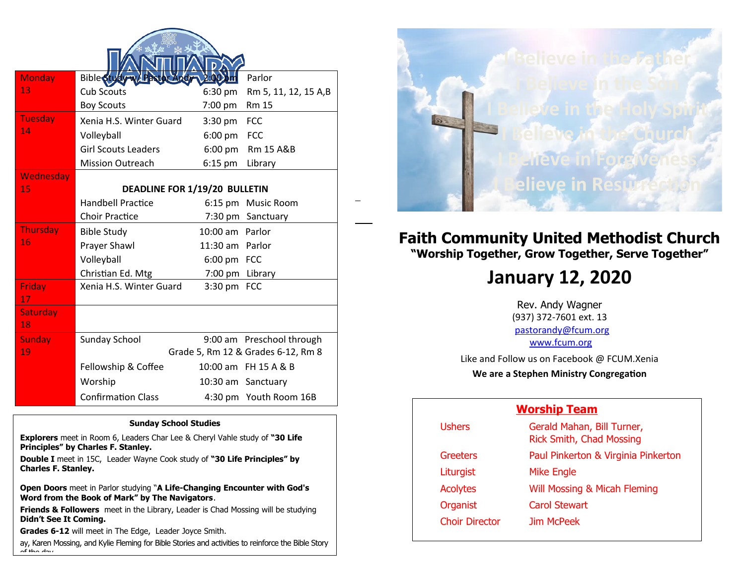| <b>Monday</b>  | Bible Study w/ Past           |                 | Parlor                             |  |
|----------------|-------------------------------|-----------------|------------------------------------|--|
| 13             | <b>Cub Scouts</b>             | 6:30 pm         | Rm 5, 11, 12, 15 A,B               |  |
|                | <b>Boy Scouts</b>             | 7:00 pm         | <b>Rm 15</b>                       |  |
| <b>Tuesday</b> | Xenia H.S. Winter Guard       | $3:30$ pm       | <b>FCC</b>                         |  |
| 14             | Volleyball                    | 6:00 pm         | <b>FCC</b>                         |  |
|                | <b>Girl Scouts Leaders</b>    | $6:00$ pm       | <b>Rm 15 A&amp;B</b>               |  |
|                | <b>Mission Outreach</b>       | $6:15$ pm       | Library                            |  |
| Wednesday      |                               |                 |                                    |  |
| 15             | DEADLINE FOR 1/19/20 BULLETIN |                 |                                    |  |
|                | <b>Handbell Practice</b>      |                 | 6:15 pm Music Room                 |  |
|                | <b>Choir Practice</b>         |                 | 7:30 pm Sanctuary                  |  |
| Thursday       | <b>Bible Study</b>            | 10:00 am Parlor |                                    |  |
| 16             | Prayer Shawl                  | 11:30 am Parlor |                                    |  |
|                | Volleyball                    | 6:00 pm FCC     |                                    |  |
|                | Christian Ed. Mtg             | 7:00 pm Library |                                    |  |
| <b>Friday</b>  | Xenia H.S. Winter Guard       | 3:30 pm FCC     |                                    |  |
| 17             |                               |                 |                                    |  |
| Saturday       |                               |                 |                                    |  |
| 18             |                               |                 |                                    |  |
| <b>Sunday</b>  | <b>Sunday School</b>          |                 | 9:00 am Preschool through          |  |
| 19             |                               |                 | Grade 5, Rm 12 & Grades 6-12, Rm 8 |  |
|                | Fellowship & Coffee           |                 | 10:00 am FH 15 A & B               |  |
|                | Worship                       |                 | 10:30 am Sanctuary                 |  |
|                | <b>Confirmation Class</b>     |                 | 4:30 pm Youth Room 16B             |  |

1

#### **Sunday School Studies**

**Explorers** meet in Room 6, Leaders Char Lee & Cheryl Vahle study of **"30 Life Principles" by Charles F. Stanley.** 

**Double I** meet in 15C, Leader Wayne Cook study of **"30 Life Principles" by Charles F. Stanley.**

**Open Doors** meet in Parlor studying "**A Life-Changing Encounter with God's Word from the Book of Mark" by The Navigators**.

**Friends & Followers** meet in the Library, Leader is Chad Mossing will be studying **Didn't See It Coming.**

**Grades 6-12** will meet in The Edge, Leader Joyce Smith.

ay, Karen Mossing, and Kylie Fleming for Bible Stories and activities to reinforce the Bible Story of the day.



## **Faith Community United Methodist Church "Worship Together, Grow Together, Serve Together"**

# **January 12, 2020**

Rev. Andy Wagner (937) 372-7601 ext. 13 [pastorandy@fcum.org](mailto:pastorandy@fcum.org) [www.fcum.org](http://www.fcum.org/)

Like and Follow us on Facebook @ FCUM.Xenia

**We are a Stephen Ministry Congregation**

### **Worship Team**

| <b>Ushers</b>         | Gerald Mahan, Bill Turner,<br><b>Rick Smith, Chad Mossing</b> |
|-----------------------|---------------------------------------------------------------|
| Greeters              | Paul Pinkerton & Virginia Pinkerton                           |
| Liturgist             | <b>Mike Engle</b>                                             |
| <b>Acolytes</b>       | Will Mossing & Micah Fleming                                  |
| Organist              | <b>Carol Stewart</b>                                          |
| <b>Choir Director</b> | Jim McPeek                                                    |